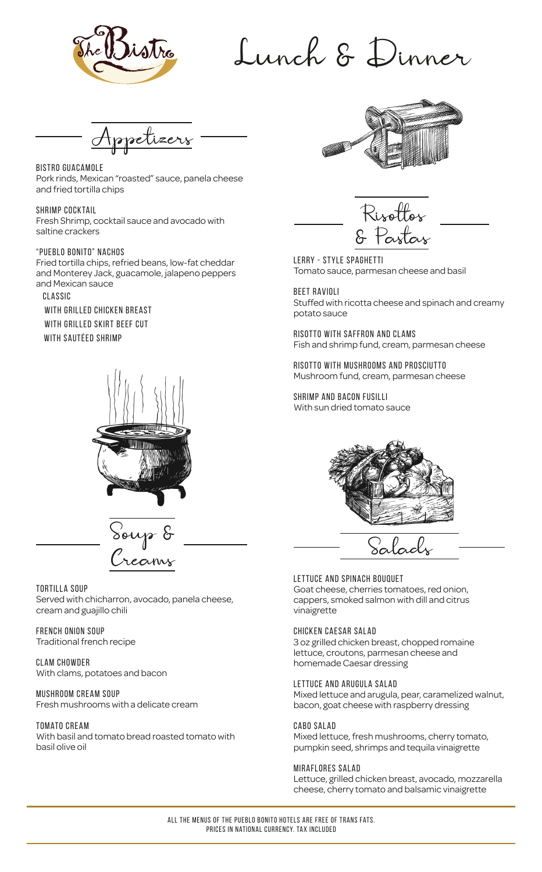

Lunch & Dinner

Bistro guacamole Pork rinds, Mexican "roasted" sauce, panela cheese and fried tortilla chips

SHRIMP COCKTAIL Fresh Shrimp, cocktail sauce and avocado with saltine crackers

"Pueblo Bonito" nachos Fried tortilla chips, refried beans, low-fat cheddar and Monterey Jack, guacamole, jalapeno peppers and Mexican sauce

 Classic with grilled chicken breast with grilled skirt beef cut with sautéed shrimp



Lettuce and spinach bouquet Goat cheese, cherries tomatoes, red onion,

TORTILLA SOUP

cappers, smoked salmon with dill and citrus vinaigrette

chicken caesar salad 3 oz grilled chicken breast, chopped romaine

lettuce, croutons, parmesan cheese and homemade Caesar dressing

# Lettuce and Arugula Salad

Mixed lettuce and arugula, pear, caramelized walnut, bacon, goat cheese with raspberry dressing

# Cabo salad

Mixed lettuce, fresh mushrooms, cherry tomato, pumpkin seed, shrimps and tequila vinaigrette

Miraflores Salad

Lettuce, grilled chicken breast, avocado, mozzarella cheese, cherry tomato and balsamic vinaigrette

Served with chicharron, avocado, panela cheese, cream and guajillo chili

French onion soup Traditional french recipe

clam chowder With clams, potatoes and bacon

mushroom cream soup Fresh mushrooms with a delicate cream

tomato cream With basil and tomato bread roasted tomato with basil olive oil

lerry - style spaghetti Tomato sauce, parmesan cheese and basil

Beet Ravioli Stuffed with ricotta cheese and spinach and creamy potato sauce

risotto with saffron and clams Fish and shrimp fund, cream, parmesan cheese

risotto with mushrooms and prosciutto Mushroom fund, cream, parmesan cheese

Shrimp and Bacon Fusilli With sun dried tomato sauce





Salads



Soup & Creams



All the menus of the pueblo bonito hotels are free of trans fats. Prices in national currency. tax included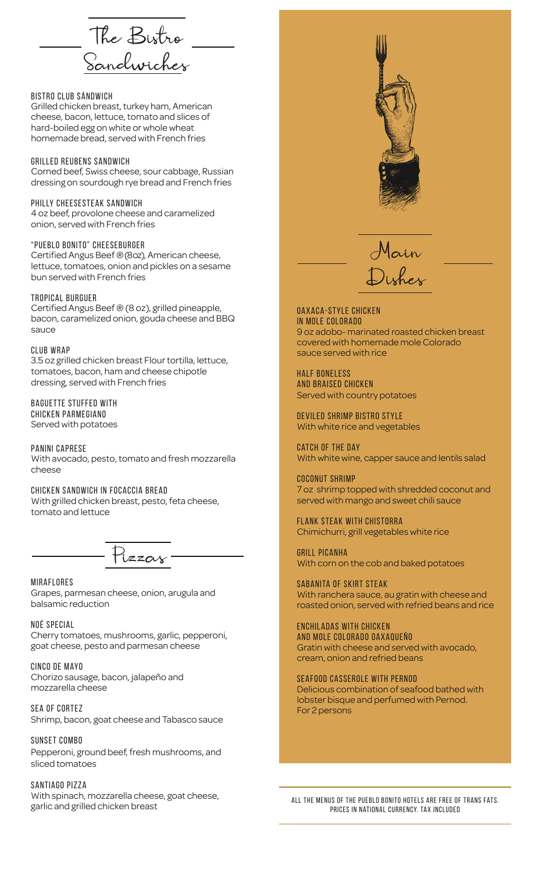Miraflores Grapes, parmesan cheese, onion, arugula and balsamic reduction



# Noé special

Cherry tomatoes, mushrooms, garlic, pepperoni, goat cheese, pesto and parmesan cheese

# Cinco de Mayo

Chorizo sausage, bacon, jalapeño and mozzarella cheese

sea of Cortez Shrimp, bacon, goat cheese and Tabasco sauce

# Sunset combo

Pepperoni, ground beef, fresh mushrooms, and sliced tomatoes

### Santiago Pizza

With spinach, mozzarella cheese, goat cheese, garlic and grilled chicken breast

# oaxaca-style chicken in mole colorado 9 oz adobo- marinated roasted chicken breast

covered with homemade mole Colorado sauce served with rice

Half boneless and braised chicken Served with country potatoes

Deviled shrimp bistro style With white rice and vegetables

catch of the day With white wine, capper sauce and lentils salad

coconut shrimp 7 oz shrimp topped with shredded coconut and served with mango and sweet chili sauce

flank steak with chistorra Chimichurri, grill vegetables white rice

grill picanha With corn on the cob and baked potatoes

Certified Angus Beef ® (8oz), American cheese, lettuce, tomatoes, onion and pickles on a sesame bun served with French fries

> Sabanita of skirt steak With ranchera sauce, au gratin with cheese and roasted onion, served with refried beans and rice

# Enchiladas with chicken and mole colorado oaxaqueño Gratin with cheese and served with avocado, cream, onion and refried beans

### seafood casserole with pernod

Delicious combination of seafood bathed with lobster bisque and perfumed with Pernod. For 2 persons

Main Dishes

The Bistro Sandwiches

### Bistro Club Sándwich

Grilled chicken breast, turkey ham, American cheese, bacon, lettuce, tomato and slices of hard-boiled egg on white or whole wheat homemade bread, served with French fries

## grilled reubens Sandwich

Corned beef, Swiss cheese, sour cabbage, Russian dressing on sourdough rye bread and French fries

## Philly Cheesesteak Sandwich

4 oz beef, provolone cheese and caramelized onion, served with French fries

### "Pueblo Bonito" cheeseburger

### tropical burguer

Certified Angus Beef ® (8 oz), grilled pineapple, bacon, caramelized onion, gouda cheese and BBQ sauce

### CLUB WRAP

3.5 oz grilled chicken breast Flour tortilla, lettuce, tomatoes, bacon, ham and cheese chipotle dressing, served with French fries

baguette stuffed with chicken parmegiano Served with potatoes

Panini Caprese With avocado, pesto, tomato and fresh mozzarella cheese

Chicken Sandwich in Focaccia Bread With grilled chicken breast, pesto, feta cheese, tomato and lettuce

Pizzas

All the menus of the pueblo bonito hotels are free of trans fats. Prices in national currency. tax included